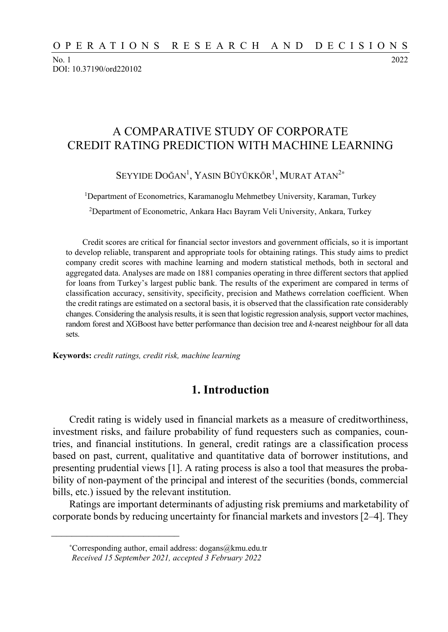No. 1 2022 DOI: 10.37190/ord220102

# A COMPARATIVE STUDY OF CORPORATE CREDIT RATING PREDICTION WITH MACHINE LEARNING

SEYYIDE DOĞAN<sup>1</sup>, YASIN BÜYÜKKÖR<sup>1</sup>, MURAT ATAN<sup>2∗</sup>

1Department of Econometrics, Karamanoglu Mehmetbey University, Karaman, Turkey

2Department of Econometric, Ankara Hacı Bayram Veli University, Ankara, Turkey

Credit scores are critical for financial sector investors and government officials, so it is important to develop reliable, transparent and appropriate tools for obtaining ratings. This study aims to predict company credit scores with machine learning and modern statistical methods, both in sectoral and aggregated data. Analyses are made on 1881 companies operating in three different sectors that applied for loans from Turkey's largest public bank. The results of the experiment are compared in terms of classification accuracy, sensitivity, specificity, precision and Mathews correlation coefficient. When the credit ratings are estimated on a sectoral basis, it is observed that the classification rate considerably changes. Considering the analysis results, it is seen that logistic regression analysis, support vector machines, random forest and XGBoost have better performance than decision tree and *k*-nearest neighbour for all data sets.

**Keywords:** *credit ratings, credit risk, machine learning* 

## **1. Introduction**

Credit rating is widely used in financial markets as a measure of creditworthiness, investment risks, and failure probability of fund requesters such as companies, countries, and financial institutions. In general, credit ratings are a classification process based on past, current, qualitative and quantitative data of borrower institutions, and presenting prudential views [1]. A rating process is also a tool that measures the probability of non-payment of the principal and interest of the securities (bonds, commercial bills, etc.) issued by the relevant institution.

Ratings are important determinants of adjusting risk premiums and marketability of corporate bonds by reducing uncertainty for financial markets and investors [2–4]. They

 $\frac{1}{\sqrt{2}}$  ,  $\frac{1}{\sqrt{2}}$  ,  $\frac{1}{\sqrt{2}}$  ,  $\frac{1}{\sqrt{2}}$  ,  $\frac{1}{\sqrt{2}}$  ,  $\frac{1}{\sqrt{2}}$  ,  $\frac{1}{\sqrt{2}}$  ,  $\frac{1}{\sqrt{2}}$  ,  $\frac{1}{\sqrt{2}}$  ,  $\frac{1}{\sqrt{2}}$  ,  $\frac{1}{\sqrt{2}}$  ,  $\frac{1}{\sqrt{2}}$  ,  $\frac{1}{\sqrt{2}}$  ,  $\frac{1}{\sqrt{2}}$  ,  $\frac{1}{\sqrt{2}}$ 

<sup>∗</sup>Corresponding author, email address: dogans@kmu.edu.tr *Received 15 September 2021, accepted 3 February 2022*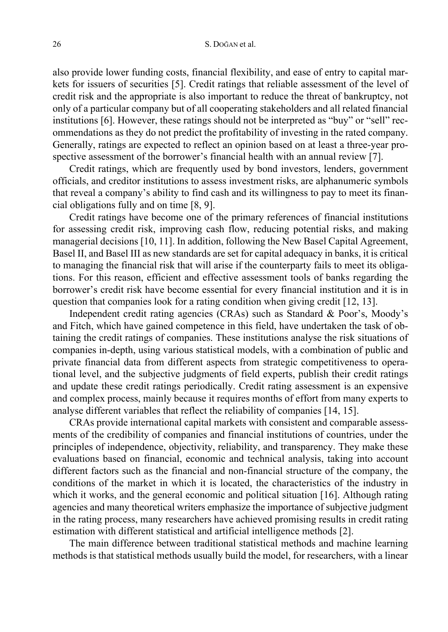also provide lower funding costs, financial flexibility, and ease of entry to capital markets for issuers of securities [5]. Credit ratings that reliable assessment of the level of credit risk and the appropriate is also important to reduce the threat of bankruptcy, not only of a particular company but of all cooperating stakeholders and all related financial institutions [6]. However, these ratings should not be interpreted as "buy" or "sell" recommendations as they do not predict the profitability of investing in the rated company. Generally, ratings are expected to reflect an opinion based on at least a three-year prospective assessment of the borrower's financial health with an annual review [7].

Credit ratings, which are frequently used by bond investors, lenders, government officials, and creditor institutions to assess investment risks, are alphanumeric symbols that reveal a company's ability to find cash and its willingness to pay to meet its financial obligations fully and on time [8, 9].

Credit ratings have become one of the primary references of financial institutions for assessing credit risk, improving cash flow, reducing potential risks, and making managerial decisions [10, 11]. In addition, following the New Basel Capital Agreement, Basel II, and Basel III as new standards are set for capital adequacy in banks, it is critical to managing the financial risk that will arise if the counterparty fails to meet its obligations. For this reason, efficient and effective assessment tools of banks regarding the borrower's credit risk have become essential for every financial institution and it is in question that companies look for a rating condition when giving credit [12, 13].

Independent credit rating agencies (CRAs) such as Standard & Poor's, Moody's and Fitch, which have gained competence in this field, have undertaken the task of obtaining the credit ratings of companies. These institutions analyse the risk situations of companies in-depth, using various statistical models, with a combination of public and private financial data from different aspects from strategic competitiveness to operational level, and the subjective judgments of field experts, publish their credit ratings and update these credit ratings periodically. Credit rating assessment is an expensive and complex process, mainly because it requires months of effort from many experts to analyse different variables that reflect the reliability of companies [14, 15].

CRAs provide international capital markets with consistent and comparable assessments of the credibility of companies and financial institutions of countries, under the principles of independence, objectivity, reliability, and transparency. They make these evaluations based on financial, economic and technical analysis, taking into account different factors such as the financial and non-financial structure of the company, the conditions of the market in which it is located, the characteristics of the industry in which it works, and the general economic and political situation [16]. Although rating agencies and many theoretical writers emphasize the importance of subjective judgment in the rating process, many researchers have achieved promising results in credit rating estimation with different statistical and artificial intelligence methods [2].

The main difference between traditional statistical methods and machine learning methods is that statistical methods usually build the model, for researchers, with a linear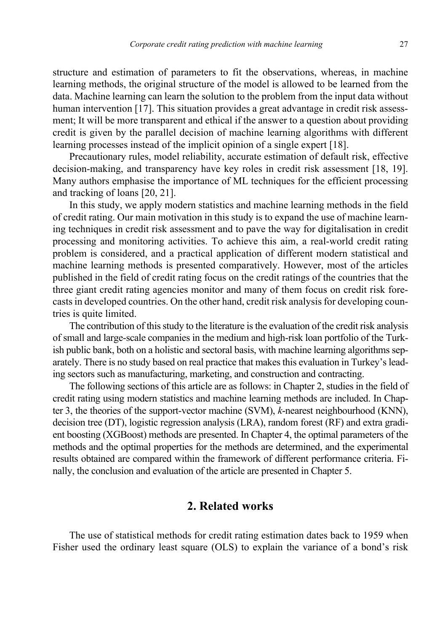structure and estimation of parameters to fit the observations, whereas, in machine learning methods, the original structure of the model is allowed to be learned from the data. Machine learning can learn the solution to the problem from the input data without human intervention [17]. This situation provides a great advantage in credit risk assessment; It will be more transparent and ethical if the answer to a question about providing credit is given by the parallel decision of machine learning algorithms with different learning processes instead of the implicit opinion of a single expert [18].

Precautionary rules, model reliability, accurate estimation of default risk, effective decision-making, and transparency have key roles in credit risk assessment [18, 19]. Many authors emphasise the importance of ML techniques for the efficient processing and tracking of loans [20, 21].

In this study, we apply modern statistics and machine learning methods in the field of credit rating. Our main motivation in this study is to expand the use of machine learning techniques in credit risk assessment and to pave the way for digitalisation in credit processing and monitoring activities. To achieve this aim, a real-world credit rating problem is considered, and a practical application of different modern statistical and machine learning methods is presented comparatively. However, most of the articles published in the field of credit rating focus on the credit ratings of the countries that the three giant credit rating agencies monitor and many of them focus on credit risk forecasts in developed countries. On the other hand, credit risk analysis for developing countries is quite limited.

The contribution of this study to the literature is the evaluation of the credit risk analysis of small and large-scale companies in the medium and high-risk loan portfolio of the Turkish public bank, both on a holistic and sectoral basis, with machine learning algorithms separately. There is no study based on real practice that makes this evaluation in Turkey's leading sectors such as manufacturing, marketing, and construction and contracting.

The following sections of this article are as follows: in Chapter 2, studies in the field of credit rating using modern statistics and machine learning methods are included. In Chapter 3, the theories of the support-vector machine (SVM), *k*-nearest neighbourhood (KNN), decision tree (DT), logistic regression analysis (LRA), random forest (RF) and extra gradient boosting (XGBoost) methods are presented. In Chapter 4, the optimal parameters of the methods and the optimal properties for the methods are determined, and the experimental results obtained are compared within the framework of different performance criteria. Finally, the conclusion and evaluation of the article are presented in Chapter 5.

## **2. Related works**

The use of statistical methods for credit rating estimation dates back to 1959 when Fisher used the ordinary least square (OLS) to explain the variance of a bond's risk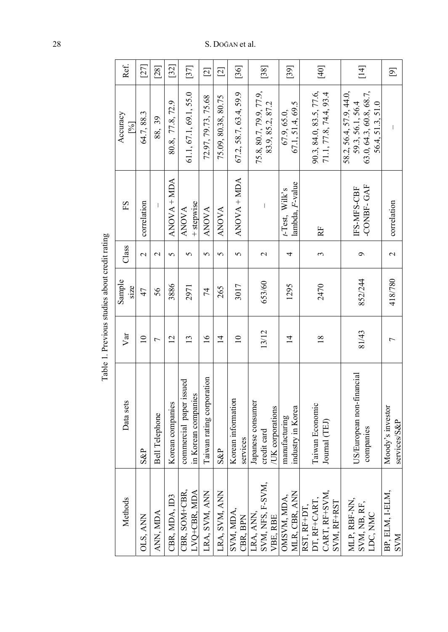| Ref.                          | [27]              | $^{[28]}$             | $[32]$           | $[37]$                                         | $[2] % \includegraphics[width=0.9\columnwidth]{figures/fig_10.pdf} \caption{Schematic diagram of the estimators in the left and right.} \label{fig:2}$ | $\Xi$               | [36]                                                     | [38]                                                 | $[39]$                             | $[40]$                                                     | $\begin{bmatrix} 14 \end{bmatrix}$                                                         | $\Xi$                                                                                                                                                                                                                                                                                                                                                                                                          |
|-------------------------------|-------------------|-----------------------|------------------|------------------------------------------------|--------------------------------------------------------------------------------------------------------------------------------------------------------|---------------------|----------------------------------------------------------|------------------------------------------------------|------------------------------------|------------------------------------------------------------|--------------------------------------------------------------------------------------------|----------------------------------------------------------------------------------------------------------------------------------------------------------------------------------------------------------------------------------------------------------------------------------------------------------------------------------------------------------------------------------------------------------------|
| Accuracy<br>$\sqrt[3]{\cdot}$ | 64.7, 88.3        | 88, 39                | 80.8, 77.8, 72.9 | 61.1, 67.1, 69.1, 55.0                         | 72.97, 79.73, 75.68                                                                                                                                    | 75.09, 80.38, 80.75 | 67.2, 58.7, 63.4, 59.9                                   | 75.8, 80.7, 79.9, 77.9,<br>83.9, 85.2, 87.2          | 67.1, 51.4, 69.5<br>67.9, 65.0,    | 90.3, 84.0, 83.5, 77.6,<br>71.1, 77.8, 74.4, 93.4          | 63.0, 64.3, 60.8, 68.7,<br>58.2, 56.4, 57.9, 44.0,<br>59.3, 56.1, 56.4<br>56.4, 51.3, 51.0 | $\begin{array}{c} \rule{0pt}{2ex} \rule{0pt}{2ex} \rule{0pt}{2ex} \rule{0pt}{2ex} \rule{0pt}{2ex} \rule{0pt}{2ex} \rule{0pt}{2ex} \rule{0pt}{2ex} \rule{0pt}{2ex} \rule{0pt}{2ex} \rule{0pt}{2ex} \rule{0pt}{2ex} \rule{0pt}{2ex} \rule{0pt}{2ex} \rule{0pt}{2ex} \rule{0pt}{2ex} \rule{0pt}{2ex} \rule{0pt}{2ex} \rule{0pt}{2ex} \rule{0pt}{2ex} \rule{0pt}{2ex} \rule{0pt}{2ex} \rule{0pt}{2ex} \rule{0pt}{$ |
| FS                            | correlation       |                       | $ANDVA + MDA$    | + stepwise<br><b>ANOVA</b>                     | <b>ANOVA</b>                                                                                                                                           | <b>ANOVA</b>        | $ANOVA + MDA$                                            | $\overline{\phantom{a}}$                             | lambda, F-value<br>t-Test, Wilk's  | E                                                          | CONBF-GAF<br><b>IFS-MFS-CBF</b>                                                            | correlation                                                                                                                                                                                                                                                                                                                                                                                                    |
| Class                         | $\mathbf{\Omega}$ | $\mathcal{L}$         | 5                | 5                                              | 5                                                                                                                                                      | 5                   | 5                                                        | $\mathcal{L}$                                        | 4                                  | 3                                                          | ç                                                                                          | $\mathbf{\sim}$                                                                                                                                                                                                                                                                                                                                                                                                |
| Sample<br>size                | 47                | 56                    | 3886             | 2971                                           | 74                                                                                                                                                     | 265                 | 3017                                                     | 653/60                                               | 1295                               | 2470                                                       | 852/244                                                                                    | 418/780                                                                                                                                                                                                                                                                                                                                                                                                        |
| Var                           | $\Omega$          | $\overline{a}$        | $\overline{2}$   | $\frac{1}{3}$                                  | $\geq$                                                                                                                                                 | $\overline{4}$      | $\supseteq$                                              | 13/12                                                | $\overline{4}$                     | $\frac{8}{2}$                                              | 81/43                                                                                      |                                                                                                                                                                                                                                                                                                                                                                                                                |
| Data sets                     | <b>S&amp;P</b>    | <b>Bell Telephone</b> | Korean companies | commercial paper issued<br>in Korean companies | Taiwan rating corporation                                                                                                                              | $S\&P$              | Korean information<br>services                           | Japanese consumer<br>/UK corporations<br>credit card | industry in Korea<br>manufacturing | Taiwan Economic<br>Journal (TEJ)                           | US/European non-financial<br>companies                                                     | Moody's investor<br>services/S&P                                                                                                                                                                                                                                                                                                                                                                               |
| Methods                       | OLS, ANN          | ANN, MDA              | CBR, MDA, ID3    | CBR, SOM+CBR,<br>LVQ+CBR, MDA                  | LRA, SVM, ANN                                                                                                                                          | LRA, SVM, ANN       | $\frac{\text{SVM}, \text{MDA},}{\text{CBR}, \text{BPN}}$ | LRA, ANN,<br>SVM, NFS, F-SVM,<br>VBE, RBE            | OMSVM, MDA,<br>MLR, CBR, ANN       | CART, RF+SVM<br>RST, RF+DT,<br>DT, RF+CART,<br>SVM, RF+RST | MLP, RBF-NN,<br>SVM, NB, RF,<br>LDC, NMC                                                   | BP, ELM, I-ELM,<br><b>NNS</b>                                                                                                                                                                                                                                                                                                                                                                                  |

Table 1. Previous studies about credit rating Table 1. Previous studies about credit rating

 $28$  S.

#### D O ĞAN et al.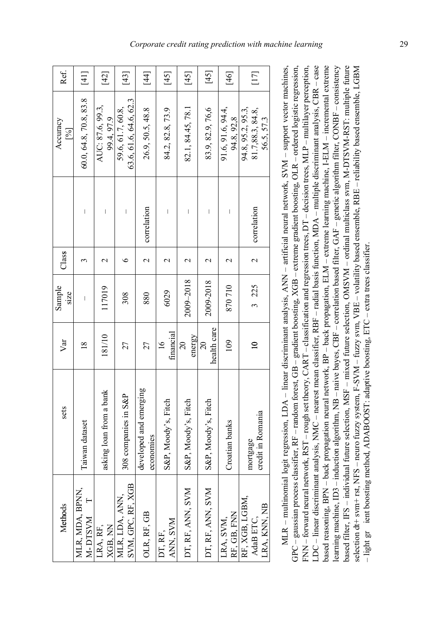| Ref.            | $[41]$                      | $[42]$                         | $[43]$                                      | [44]                                | $[45]$                       | $[45]$                         | $[45]$                        | $[46]$                          | $[17]$                                               |
|-----------------|-----------------------------|--------------------------------|---------------------------------------------|-------------------------------------|------------------------------|--------------------------------|-------------------------------|---------------------------------|------------------------------------------------------|
| Accuracy<br>[%] | 60.0, 64.8, 70.8, 83.8      | AUC: 87.6, 99.3,<br>99.4, 97.9 | 63.6, 61.6, 64.6, 62.3<br>59.6, 61.7, 60.8, | 26.9, 50.5, 48.8                    | 84.2, 82.8, 73.9             | 82.1, 84.45, 78.1              | 83.9, 82.9, 76,6              | 91.6, 91.6, 94.4,<br>94.8, 92.8 | 94.8, 95.2, 95.3,<br>81.7, 88.3, 84.8,<br>56.5, 57.3 |
|                 | $\mid$                      | I                              | $\begin{array}{c} \end{array}$              | correlation                         |                              | $\begin{array}{c} \end{array}$ |                               |                                 | correlation                                          |
| Class           |                             | $\mathcal{L}$                  | $\circ$                                     | $\overline{\mathcal{C}}$            | $\mathbf 2$                  | $\mathcal{L}$                  | $\mathcal{L}$                 | $\mathbf 2$                     | $\overline{\mathcal{C}}$                             |
| Sample<br>size  | $\mid$                      | 117019                         | 308                                         | 880                                 | 6029                         | 2009-2018                      | 2009-2018                     | 870710                          | 3 225                                                |
| Var             | $\frac{8}{18}$              | 181/10                         | 27                                          | 27                                  | financial<br>$\overline{16}$ | energy<br>$\overline{0}$       | health care<br>$\overline{c}$ | 109                             | $\mathbf{a}$                                         |
| sets            | Taiwan dataset              | asking loan from a bank        | 308 companies in S&P                        | developed and emerging<br>economies | S&P, Moody's, Fitch          | S&P, Moody's, Fitch            | S&P, Moody's, Fitch           | Croatian banks                  | credit in Romania<br>mortgage                        |
| Methods         | MLR, MDA, BPNN<br>M-DTSVM T | LRA, RF,<br>XGB, NN            | SVM, GPC, RF, XGB<br>MLR, LDA, ANN,         | OLR, RF, GB                         | ANN, SVM<br>DT, RF,          | DT, RF, ANN, SVM               | DT, RF, ANN, SVM              | RF, GB, FNN<br>LRA, SVM,        | RF, XGB, LGBM,<br>LRA, KNN, NB<br>AdaB ETC,          |

MLR – multinomial logit regression, LDA – linear discriminant analysis, ANN – artificial neural network, SVM – support vector machines, GPC – gaussian process classifier, RF – random forest, GB – gradient boosting, XGB – extreme gradient boosting, OLR – ordered logistic regression, FNN – forward neural network, RST – rough set theory, CART – classification and regression trees, DT – decision trees, MLP – multilayer perception, LDC – linear discriminant analysis, NMC – nearest mean classifier, RBF – radial basis function, MDA – multiple discriminant analysis, CBR – case LDC – linear discriminant analysis, NMC – nearest mean classifier, RBF – radial basis function, MDA – multiple discriminant analysis, CBR – case based reasoning, BPN - back propagation neural network, BP - back propagation, ELM - extreme learning machine, I-ELM - incremental extreme based reasoning, BPN – back propagation neural network, BP – back propagation, ELM – extreme learning machine, I-ELM – incremental extreme learning machine, ID3 – induction algorithm, NB – naive bayes, CBF – correlation based filter, GAF – genetic algorithm filter, CONBF – consistency based filter, IFS – individual future selection, MSF – mixed future selection, OMSVM – ordinal multiclass svm, M-DTSVM-RST: multiple future based filter, IFS – individual future selection, MSF – mixed future selection, OMSVM – ordinal multiclass svm, M-DTSVM-RST: multiple future selection dt+ svm+ rst, NFS – neuro fuzzy system, F-SVM – fuzzy svm, VBE – volatility based ensemble, RBE – reliability based ensemble, LGBM MLR – multinomial logit regression, LDA – linear discriminant analysis, ANN – artificial neural network, SVM – support vector machines,  $GPC -$ gaussian process classifier, RF – random forest, GB – gradient boosting, XGB – extreme gradient boosting, OLR – ordered logistic regression, FNN - forward neural network, RST - rough set theory, CART - classification and regression trees, DT - decision trees, MLP - multilayer perception, earning machine, ID3 -- induction algorithm, NB -- naive bayes, CBF -- correlation based filter, GAF -- genetic algorithm filter, CONBF -- consistency selection dt+ svm+ rst, NFS – neuro fuzzy system, F-SVM – fuzzy svm, VBE – volatility based ensemble, RBE – reliability based ensemble, LGBM - light gr ient boosting method, ADABOOST: adaptive boosting, ETC - extra trees classifier. – light gr ient boosting method, ADABOOST: adaptive boosting, ETC – extra trees classifier.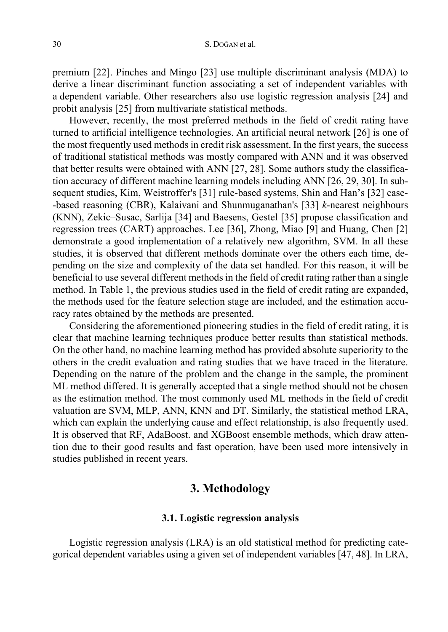premium [22]. Pinches and Mingo [23] use multiple discriminant analysis (MDA) to derive a linear discriminant function associating a set of independent variables with a dependent variable. Other researchers also use logistic regression analysis [24] and probit analysis [25] from multivariate statistical methods.

However, recently, the most preferred methods in the field of credit rating have turned to artificial intelligence technologies. An artificial neural network [26] is one of the most frequently used methods in credit risk assessment. In the first years, the success of traditional statistical methods was mostly compared with ANN and it was observed that better results were obtained with ANN [27, 28]. Some authors study the classification accuracy of different machine learning models including ANN [26, 29, 30]. In subsequent studies, Kim, Weistroffer's [31] rule-based systems, Shin and Han's [32] case- -based reasoning (CBR), Kalaivani and Shunmuganathan's [33] *k*-nearest neighbours (KNN), Zekic–Susac, Sarlija [34] and Baesens, Gestel [35] propose classification and regression trees (CART) approaches. Lee [36], Zhong, Miao [9] and Huang, Chen [2] demonstrate a good implementation of a relatively new algorithm, SVM. In all these studies, it is observed that different methods dominate over the others each time, depending on the size and complexity of the data set handled. For this reason, it will be beneficial to use several different methods in the field of credit rating rather than a single method. In Table 1, the previous studies used in the field of credit rating are expanded, the methods used for the feature selection stage are included, and the estimation accuracy rates obtained by the methods are presented.

Considering the aforementioned pioneering studies in the field of credit rating, it is clear that machine learning techniques produce better results than statistical methods. On the other hand, no machine learning method has provided absolute superiority to the others in the credit evaluation and rating studies that we have traced in the literature. Depending on the nature of the problem and the change in the sample, the prominent ML method differed. It is generally accepted that a single method should not be chosen as the estimation method. The most commonly used ML methods in the field of credit valuation are SVM, MLP, ANN, KNN and DT. Similarly, the statistical method LRA, which can explain the underlying cause and effect relationship, is also frequently used. It is observed that RF, AdaBoost. and XGBoost ensemble methods, which draw attention due to their good results and fast operation, have been used more intensively in studies published in recent years.

## **3. Methodology**

## **3.1. Logistic regression analysis**

Logistic regression analysis (LRA) is an old statistical method for predicting categorical dependent variables using a given set of independent variables [47, 48]. In LRA,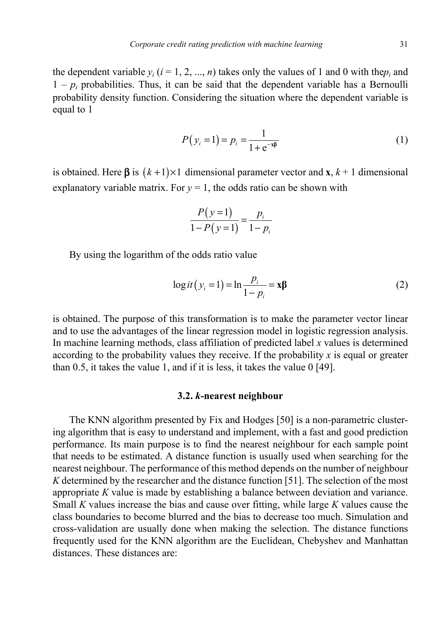the dependent variable  $y_i$  ( $i = 1, 2, ..., n$ ) takes only the values of 1 and 0 with the $p_i$  and  $1 - p_i$  probabilities. Thus, it can be said that the dependent variable has a Bernoulli probability density function. Considering the situation where the dependent variable is equal to 1

$$
P(y_i = 1) = p_i = \frac{1}{1 + e^{-x\beta}}
$$
 (1)

is obtained. Here  $\beta$  is  $(k+1) \times 1$  dimensional parameter vector and **x**,  $k+1$  dimensional explanatory variable matrix. For  $y = 1$ , the odds ratio can be shown with

$$
\frac{P(y=1)}{1-P(y=1)} = \frac{p_i}{1-p_i}
$$

By using the logarithm of the odds ratio value

$$
\log it\left(y_i = 1\right) = \ln \frac{p_i}{1 - p_i} = \mathbf{x} \mathbf{\beta} \tag{2}
$$

is obtained. The purpose of this transformation is to make the parameter vector linear and to use the advantages of the linear regression model in logistic regression analysis. In machine learning methods, class affiliation of predicted label *x* values is determined according to the probability values they receive. If the probability *x* is equal or greater than 0.5, it takes the value 1, and if it is less, it takes the value 0 [49].

#### **3.2.** *k***-nearest neighbour**

The KNN algorithm presented by Fix and Hodges [50] is a non-parametric clustering algorithm that is easy to understand and implement, with a fast and good prediction performance. Its main purpose is to find the nearest neighbour for each sample point that needs to be estimated. A distance function is usually used when searching for the nearest neighbour. The performance of this method depends on the number of neighbour *K* determined by the researcher and the distance function [51]. The selection of the most appropriate *K* value is made by establishing a balance between deviation and variance. Small *K* values increase the bias and cause over fitting, while large *K* values cause the class boundaries to become blurred and the bias to decrease too much. Simulation and cross-validation are usually done when making the selection. The distance functions frequently used for the KNN algorithm are the Euclidean, Chebyshev and Manhattan distances. These distances are: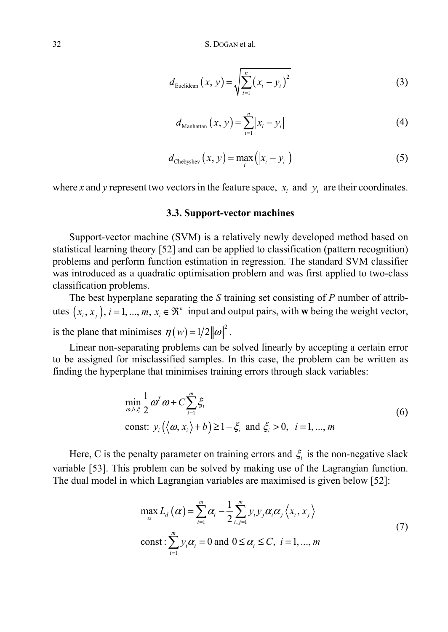32 S. DOĞAN et al.

$$
d_{\text{Euclidean}}(x, y) = \sqrt{\sum_{i=1}^{n} (x_i - y_i)^2}
$$
 (3)

$$
d_{\text{Manhattan}}(x, y) = \sum_{i=1}^{n} |x_i - y_i|
$$
 (4)

$$
d_{\text{Chebyshev}}(x, y) = \max_{i} (|x_i - y_i|) \tag{5}
$$

where *x* and *y* represent two vectors in the feature space,  $x_i$  and  $y_i$  are their coordinates.

### **3.3. Support-vector machines**

Support-vector machine (SVM) is a relatively newly developed method based on statistical learning theory [52] and can be applied to classification (pattern recognition) problems and perform function estimation in regression. The standard SVM classifier was introduced as a quadratic optimisation problem and was first applied to two-class classification problems.

The best hyperplane separating the *S* training set consisting of *P* number of attributes  $(x_i, x_j)$ ,  $i = 1, ..., m$ ,  $x_i \in \mathbb{R}^n$  input and output pairs, with **w** being the weight vector, is the plane that minimises  $\eta(w) = 1/2 ||\omega||^2$ .

Linear non-separating problems can be solved linearly by accepting a certain error to be assigned for misclassified samples. In this case, the problem can be written as finding the hyperplane that minimises training errors through slack variables:

$$
\min_{\omega, b, \xi} \frac{1}{2} \omega^T \omega + C \sum_{i=1}^m \xi_i
$$
\n
$$
\text{const: } y_i \left( \langle \omega, x_i \rangle + b \right) \ge 1 - \xi_i \text{ and } \xi_i > 0, \quad i = 1, \dots, m
$$
\n
$$
(6)
$$

Here, C is the penalty parameter on training errors and  $\xi$  is the non-negative slack variable [53]. This problem can be solved by making use of the Lagrangian function. The dual model in which Lagrangian variables are maximised is given below [52]:

$$
\max_{\alpha} L_{d}(\alpha) = \sum_{i=1}^{m} \alpha_{i} - \frac{1}{2} \sum_{i,j=1}^{m} y_{i} y_{j} \alpha_{i} \alpha_{j} \langle x_{i}, x_{j} \rangle
$$
  
const: 
$$
\sum_{i=1}^{m} y_{i} \alpha_{i} = 0 \text{ and } 0 \le \alpha_{i} \le C, i = 1, ..., m
$$
 (7)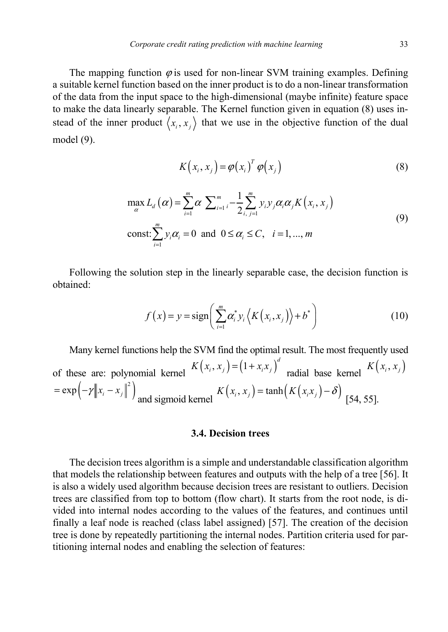The mapping function  $\varphi$  is used for non-linear SVM training examples. Defining a suitable kernel function based on the inner product is to do a non-linear transformation of the data from the input space to the high-dimensional (maybe infinite) feature space to make the data linearly separable. The Kernel function given in equation (8) uses instead of the inner product  $\langle x_i, x_j \rangle$  that we use in the objective function of the dual model (9).

$$
K(x_i, x_j) = \varphi(x_i)^T \varphi(x_j)
$$
 (8)

$$
\max_{\alpha} L_{d}(\alpha) = \sum_{i=1}^{m} \alpha \sum_{i=1}^{m} \sum_{i}^{m} y_{i} y_{j} \alpha_{i} \alpha_{j} K(x_{i}, x_{j})
$$
\n
$$
\text{const:} \sum_{i=1}^{m} y_{i} \alpha_{i} = 0 \text{ and } 0 \le \alpha_{i} \le C, \quad i = 1, ..., m
$$
\n(9)

Following the solution step in the linearly separable case, the decision function is obtained:

$$
f(x) = y = sign\left(\sum_{i=1}^{m} \alpha_i^* y_i \langle K(x_i, x_j) \rangle + b^* \right)
$$
 (10)

Many kernel functions help the SVM find the optimal result. The most frequently used of these are: polynomial kernel  $K(x_i, x_j) = (1 + x_i x_j)^d$  radial base kernel  $K(x_i, x_j)$  $= \exp\left(-\gamma \left\| x_i - x_j \right\|^2 \right)$ and sigmoid kernel  $K(x_i, x_j) = \tanh (K(x_i, x_j) - \delta)$  [54, 55].

### **3.4. Decision trees**

The decision trees algorithm is a simple and understandable classification algorithm that models the relationship between features and outputs with the help of a tree [56]. It is also a widely used algorithm because decision trees are resistant to outliers. Decision trees are classified from top to bottom (flow chart). It starts from the root node, is divided into internal nodes according to the values of the features, and continues until finally a leaf node is reached (class label assigned) [57]. The creation of the decision tree is done by repeatedly partitioning the internal nodes. Partition criteria used for partitioning internal nodes and enabling the selection of features: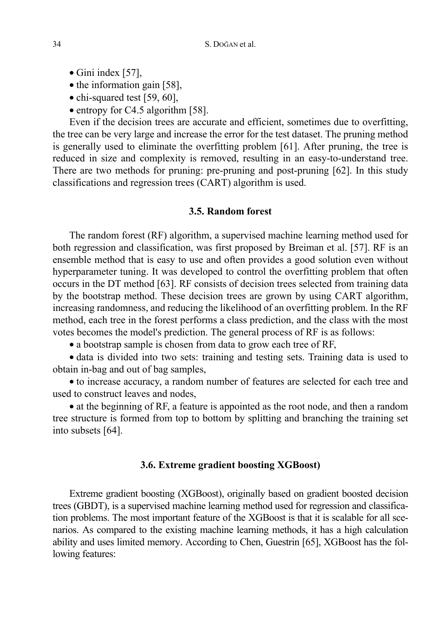- Gini index [57],
- the information gain [58],
- chi-squared test [59, 60],
- entropy for C4.5 algorithm [58].

Even if the decision trees are accurate and efficient, sometimes due to overfitting, the tree can be very large and increase the error for the test dataset. The pruning method is generally used to eliminate the overfitting problem [61]. After pruning, the tree is reduced in size and complexity is removed, resulting in an easy-to-understand tree. There are two methods for pruning: pre-pruning and post-pruning [62]. In this study classifications and regression trees (CART) algorithm is used.

## **3.5. Random forest**

The random forest (RF) algorithm, a supervised machine learning method used for both regression and classification, was first proposed by Breiman et al. [57]. RF is an ensemble method that is easy to use and often provides a good solution even without hyperparameter tuning. It was developed to control the overfitting problem that often occurs in the DT method [63]. RF consists of decision trees selected from training data by the bootstrap method. These decision trees are grown by using CART algorithm, increasing randomness, and reducing the likelihood of an overfitting problem. In the RF method, each tree in the forest performs a class prediction, and the class with the most votes becomes the model's prediction. The general process of RF is as follows:

• a bootstrap sample is chosen from data to grow each tree of RF,

• data is divided into two sets: training and testing sets. Training data is used to obtain in-bag and out of bag samples,

• to increase accuracy, a random number of features are selected for each tree and used to construct leaves and nodes,

• at the beginning of RF, a feature is appointed as the root node, and then a random tree structure is formed from top to bottom by splitting and branching the training set into subsets [64].

### **3.6. Extreme gradient boosting XGBoost)**

Extreme gradient boosting (XGBoost), originally based on gradient boosted decision trees (GBDT), is a supervised machine learning method used for regression and classification problems. The most important feature of the XGBoost is that it is scalable for all scenarios. As compared to the existing machine learning methods, it has a high calculation ability and uses limited memory. According to Chen, Guestrin [65], XGBoost has the following features: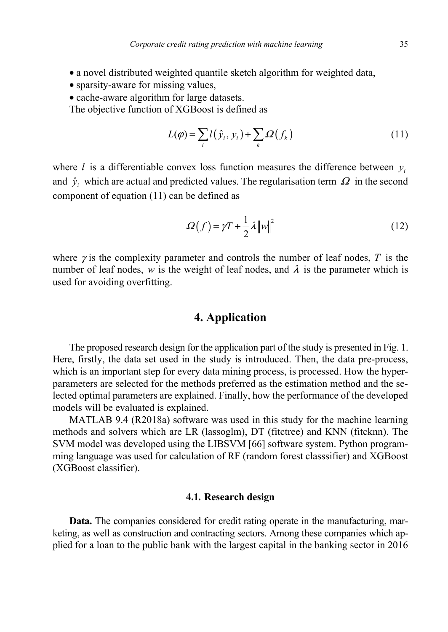- a novel distributed weighted quantile sketch algorithm for weighted data,
- sparsity-aware for missing values,
- cache-aware algorithm for large datasets.

The objective function of XGBoost is defined as

$$
L(\varphi) = \sum_{i} l(\hat{y}_i, y_i) + \sum_{k} \Omega(f_k)
$$
\n(11)

where *l* is a differentiable convex loss function measures the difference between  $y_i$ and  $\hat{y}_i$  which are actual and predicted values. The regularisation term  $\Omega$  in the second component of equation (11) can be defined as

$$
\Omega(f) = \gamma T + \frac{1}{2}\lambda \left\|w\right\|^2 \tag{12}
$$

where  $\gamma$  is the complexity parameter and controls the number of leaf nodes,  $T$  is the number of leaf nodes, *w* is the weight of leaf nodes, and  $\lambda$  is the parameter which is used for avoiding overfitting.

## **4. Application**

The proposed research design for the application part of the study is presented in Fig. 1. Here, firstly, the data set used in the study is introduced. Then, the data pre-process, which is an important step for every data mining process, is processed. How the hyperparameters are selected for the methods preferred as the estimation method and the selected optimal parameters are explained. Finally, how the performance of the developed models will be evaluated is explained.

MATLAB 9.4 (R2018a) software was used in this study for the machine learning methods and solvers which are LR (lassoglm), DT (fitctree) and KNN (fitcknn). The SVM model was developed using the LIBSVM [66] software system. Python programming language was used for calculation of RF (random forest classsifier) and XGBoost (XGBoost classifier).

### **4.1***.* **Research design**

**Data.** The companies considered for credit rating operate in the manufacturing, marketing, as well as construction and contracting sectors. Among these companies which applied for a loan to the public bank with the largest capital in the banking sector in 2016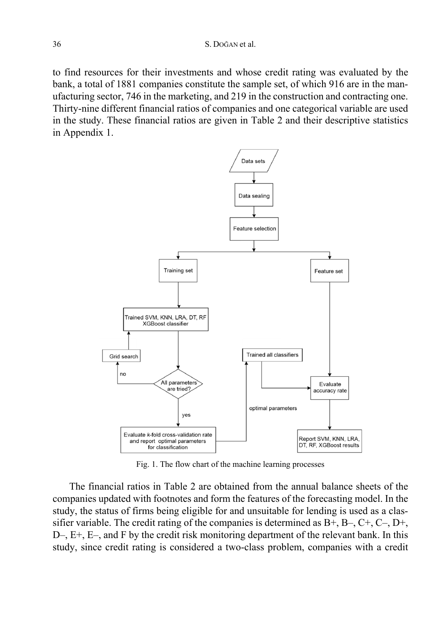to find resources for their investments and whose credit rating was evaluated by the bank, a total of 1881 companies constitute the sample set, of which 916 are in the manufacturing sector, 746 in the marketing, and 219 in the construction and contracting one. Thirty-nine different financial ratios of companies and one categorical variable are used in the study. These financial ratios are given in Table 2 and their descriptive statistics in Appendix 1.



Fig. 1. The flow chart of the machine learning processes

The financial ratios in Table 2 are obtained from the annual balance sheets of the companies updated with footnotes and form the features of the forecasting model. In the study, the status of firms being eligible for and unsuitable for lending is used as a classifier variable. The credit rating of the companies is determined as  $B^+, B^-, C^+, C^-, D^+,$ D–, E+, E–, and F by the credit risk monitoring department of the relevant bank. In this study, since credit rating is considered a two-class problem, companies with a credit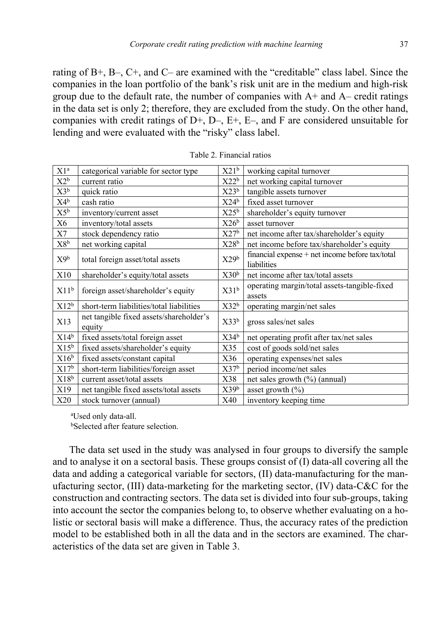rating of B+, B–, C+, and C– are examined with the "creditable" class label. Since the companies in the loan portfolio of the bank's risk unit are in the medium and high-risk group due to the default rate, the number of companies with  $A<sup>+</sup>$  and  $A<sup>-</sup>$  credit ratings in the data set is only 2; therefore, they are excluded from the study. On the other hand, companies with credit ratings of D+, D–, E+, E–, and F are considered unsuitable for lending and were evaluated with the "risky" class label.

| $X1^a$           | categorical variable for sector type              | X21 <sup>b</sup> | working capital turnover                                       |
|------------------|---------------------------------------------------|------------------|----------------------------------------------------------------|
| $X2^b$           | current ratio                                     | $X22^b$          | net working capital turnover                                   |
| $X3^b$           | quick ratio                                       | $X23^b$          | tangible assets turnover                                       |
| $X4^b$           | cash ratio                                        | X24 <sup>b</sup> | fixed asset turnover                                           |
| $X5^b$           | inventory/current asset                           | X25 <sup>b</sup> | shareholder's equity turnover                                  |
| X6               | inventory/total assets                            | X26 <sup>b</sup> | asset turnover                                                 |
| X7               | stock dependency ratio                            | X27 <sup>b</sup> | net income after tax/shareholder's equity                      |
| $X8^b$           | net working capital                               | X28 <sup>b</sup> | net income before tax/shareholder's equity                     |
| X9 <sup>b</sup>  | total foreign asset/total assets                  | X29 <sup>b</sup> | financial expense + net income before tax/total<br>liabilities |
| X10              | shareholder's equity/total assets                 | X30 <sup>b</sup> | net income after tax/total assets                              |
| X11 <sup>b</sup> | foreign asset/shareholder's equity                | X31 <sup>b</sup> | operating margin/total assets-tangible-fixed<br>assets         |
| $X12^b$          | short-term liabilities/total liabilities          | $X32^b$          | operating margin/net sales                                     |
| X13              | net tangible fixed assets/shareholder's<br>equity | $X33^b$          | gross sales/net sales                                          |
| $X14^b$          | fixed assets/total foreign asset                  | $X34^b$          | net operating profit after tax/net sales                       |
| $X15^b$          | fixed assets/shareholder's equity                 | X35              | cost of goods sold/net sales                                   |
| X16 <sup>b</sup> | fixed assets/constant capital                     | X36              | operating expenses/net sales                                   |
| X17 <sup>b</sup> | short-term liabilities/foreign asset              | X37 <sup>b</sup> | period income/net sales                                        |
| X18 <sup>b</sup> | current asset/total assets                        | X38              | net sales growth $(\%)$ (annual)                               |
| X19              | net tangible fixed assets/total assets            | X39 <sup>b</sup> | asset growth $(\% )$                                           |
| X20              | stock turnover (annual)                           | X40              | inventory keeping time                                         |

a Used only data-all.

bSelected after feature selection.

The data set used in the study was analysed in four groups to diversify the sample and to analyse it on a sectoral basis. These groups consist of (I) data-all covering all the data and adding a categorical variable for sectors, (II) data-manufacturing for the manufacturing sector, (III) data-marketing for the marketing sector, (IV) data-C&C for the construction and contracting sectors. The data set is divided into four sub-groups, taking into account the sector the companies belong to, to observe whether evaluating on a holistic or sectoral basis will make a difference. Thus, the accuracy rates of the prediction model to be established both in all the data and in the sectors are examined. The characteristics of the data set are given in Table 3.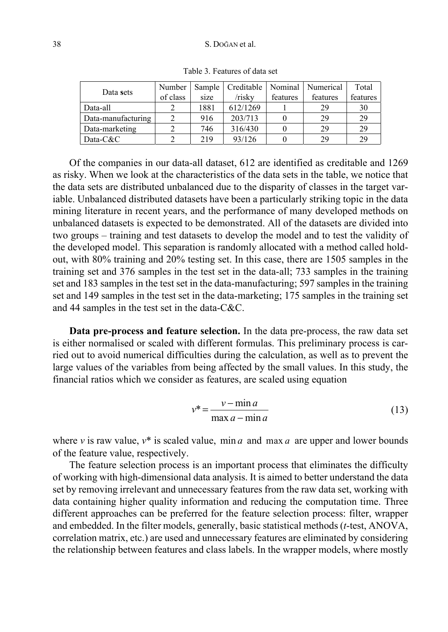| Data sets          | Number   | Sample | Creditable   Nominal |          | Numerical | Total    |
|--------------------|----------|--------|----------------------|----------|-----------|----------|
|                    | of class | size   | /risky               | features | features  | features |
| Data-all           |          | 1881   | 612/1269             |          | 29        | 30       |
| Data-manufacturing |          | 916    | 203/713              |          | 29        | 29       |
| Data-marketing     |          | 746    | 316/430              |          | 29        | 29       |
| $Data-C&C$         |          | 219    | 93/126               |          | 29        | 29       |

Table 3. Features of data set

Of the companies in our data-all dataset, 612 are identified as creditable and 1269 as risky. When we look at the characteristics of the data sets in the table, we notice that the data sets are distributed unbalanced due to the disparity of classes in the target variable. Unbalanced distributed datasets have been a particularly striking topic in the data mining literature in recent years, and the performance of many developed methods on unbalanced datasets is expected to be demonstrated. All of the datasets are divided into two groups – training and test datasets to develop the model and to test the validity of the developed model. This separation is randomly allocated with a method called holdout, with 80% training and 20% testing set. In this case, there are 1505 samples in the training set and 376 samples in the test set in the data-all; 733 samples in the training set and 183 samples in the test set in the data-manufacturing; 597 samples in the training set and 149 samples in the test set in the data-marketing; 175 samples in the training set and 44 samples in the test set in the data-C&C.

**Data pre-process and feature selection.** In the data pre-process, the raw data set is either normalised or scaled with different formulas. This preliminary process is carried out to avoid numerical difficulties during the calculation, as well as to prevent the large values of the variables from being affected by the small values. In this study, the financial ratios which we consider as features, are scaled using equation

$$
v^* = \frac{v - \min a}{\max a - \min a} \tag{13}
$$

where *v* is raw value,  $v^*$  is scaled value, min *a* and max *a* are upper and lower bounds of the feature value, respectively.

The feature selection process is an important process that eliminates the difficulty of working with high-dimensional data analysis. It is aimed to better understand the data set by removing irrelevant and unnecessary features from the raw data set, working with data containing higher quality information and reducing the computation time. Three different approaches can be preferred for the feature selection process: filter, wrapper and embedded. In the filter models, generally, basic statistical methods (*t*-test, ANOVA, correlation matrix, etc.) are used and unnecessary features are eliminated by considering the relationship between features and class labels. In the wrapper models, where mostly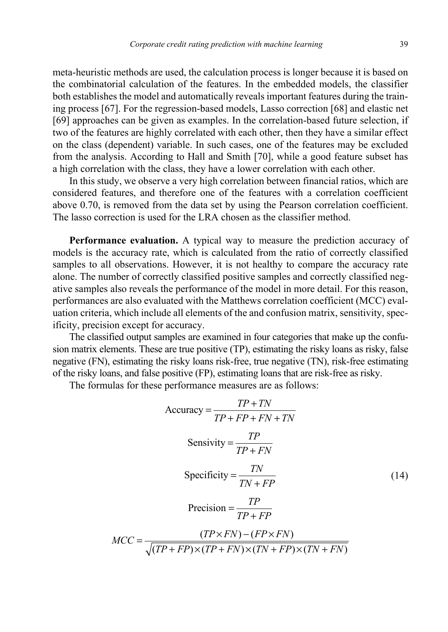meta-heuristic methods are used, the calculation process is longer because it is based on the combinatorial calculation of the features. In the embedded models, the classifier both establishes the model and automatically reveals important features during the training process [67]. For the regression-based models, Lasso correction [68] and elastic net [69] approaches can be given as examples. In the correlation-based future selection, if two of the features are highly correlated with each other, then they have a similar effect on the class (dependent) variable. In such cases, one of the features may be excluded from the analysis. According to Hall and Smith [70], while a good feature subset has a high correlation with the class, they have a lower correlation with each other.

In this study, we observe a very high correlation between financial ratios, which are considered features, and therefore one of the features with a correlation coefficient above 0.70, is removed from the data set by using the Pearson correlation coefficient. The lasso correction is used for the LRA chosen as the classifier method.

**Performance evaluation.** A typical way to measure the prediction accuracy of models is the accuracy rate, which is calculated from the ratio of correctly classified samples to all observations. However, it is not healthy to compare the accuracy rate alone. The number of correctly classified positive samples and correctly classified negative samples also reveals the performance of the model in more detail. For this reason, performances are also evaluated with the Matthews correlation coefficient (MCC) evaluation criteria, which include all elements of the and confusion matrix, sensitivity, specificity, precision except for accuracy.

The classified output samples are examined in four categories that make up the confusion matrix elements. These are true positive (TP), estimating the risky loans as risky, false negative (FN), estimating the risky loans risk-free, true negative (TN), risk-free estimating of the risky loans, and false positive (FP), estimating loans that are risk-free as risky.

The formulas for these performance measures are as follows:

$$
Accuracy = \frac{TP + TN}{TP + FP + FN + TN}
$$
  
\n
$$
Sensitivity = \frac{TP}{TP + FN}
$$
  
\n
$$
Specificity = \frac{TN}{TN + FP}
$$
  
\n
$$
Precision = \frac{TP}{TP + FP}
$$
  
\n
$$
MCC = \frac{(TP \times FN) - (FP \times FN)}{\sqrt{(TP + FP) \times (TP + FN) \times (TN + FP) \times (TN + FN)}}
$$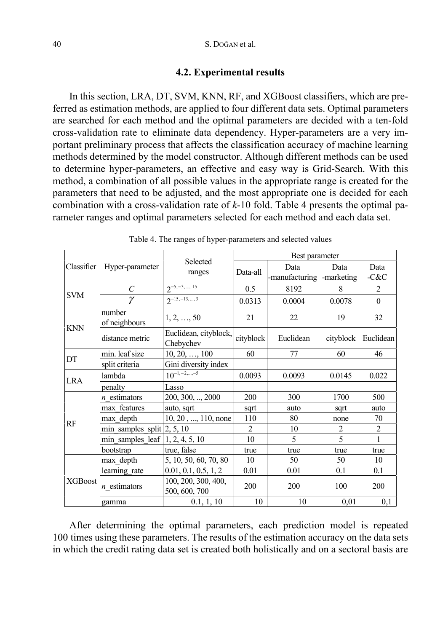### **4.2. Experimental results**

In this section, LRA, DT, SVM, KNN, RF, and XGBoost classifiers, which are preferred as estimation methods, are applied to four different data sets. Optimal parameters are searched for each method and the optimal parameters are decided with a ten-fold cross-validation rate to eliminate data dependency. Hyper-parameters are a very important preliminary process that affects the classification accuracy of machine learning methods determined by the model constructor. Although different methods can be used to determine hyper-parameters, an effective and easy way is Grid-Search. With this method, a combination of all possible values in the appropriate range is created for the parameters that need to be adjusted, and the most appropriate one is decided for each combination with a cross-validation rate of *k*-10 fold. Table 4 presents the optimal parameter ranges and optimal parameters selected for each method and each data set.

|                |                               |                                      | Best parameter |                                    |           |                |  |  |
|----------------|-------------------------------|--------------------------------------|----------------|------------------------------------|-----------|----------------|--|--|
| Classifier     | Hyper-parameter               | Selected<br>ranges                   | Data-all       | Data<br>-manufacturing  -marketing | Data      | Data<br>$-C&C$ |  |  |
|                | C                             | $2^{-5,-3,\dots,15}$                 | 0.5            | 8192                               | 8         | 2              |  |  |
| <b>SVM</b>     | $\gamma$                      | $2^{-15,-13,,3}$                     | 0.0313         | 0.0004                             | 0.0078    | $\theta$       |  |  |
| <b>KNN</b>     | number<br>of neighbours       | 1, 2, , 50                           | 21             | 22                                 | 19        | 32             |  |  |
|                | distance metric               | Euclidean, cityblock,<br>Chebychev   | cityblock      | Euclidean                          | cityblock | Euclidean      |  |  |
| DT             | min. leaf size                | $10, 20, \ldots, 100$                | 60             | 77                                 | 60        | 46             |  |  |
|                | split criteria                | Gini diversity index                 |                |                                    |           |                |  |  |
| <b>LRA</b>     | lambda                        | $10^{-1,-2,,-5}$                     | 0.0093         | 0.0093                             | 0.0145    | 0.022          |  |  |
|                | penalty                       | Lasso                                |                |                                    |           |                |  |  |
|                | $n$ estimators                | 200, 300, , 2000                     | 200            | 300                                | 1700      | 500            |  |  |
|                | max features                  | auto, sqrt                           | sqrt           | auto                               | sqrt      | auto           |  |  |
| RF             | max depth                     | $10, 20, , 110$ , none               | 110            | 80                                 | none      | 70             |  |  |
|                | min samples_split $ 2, 5, 10$ |                                      | $\overline{c}$ | 10                                 | 2         | $\overline{2}$ |  |  |
|                | min samples leaf              | 1, 2, 4, 5, 10                       | 10             | 5                                  | 5         | 1              |  |  |
|                | bootstrap                     | true, false                          | true           | true                               | true      | true           |  |  |
|                | max depth                     | 5, 10, 50, 60, 70, 80                | 10             | 50                                 | 50        | 10             |  |  |
|                | learning rate                 | 0.01, 0.1, 0.5, 1, 2                 | 0.01           | 0.01                               | 0.1       | 0.1            |  |  |
| <b>XGBoost</b> | $n$ estimators                | 100, 200, 300, 400,<br>500, 600, 700 | 200            | 200                                | 100       | 200            |  |  |
|                | gamma                         | 0.1, 1, 10                           | 10             | 10                                 | 0,01      | 0,1            |  |  |

Table 4. The ranges of hyper-parameters and selected values

After determining the optimal parameters, each prediction model is repeated 100 times using these parameters. The results of the estimation accuracy on the data sets in which the credit rating data set is created both holistically and on a sectoral basis are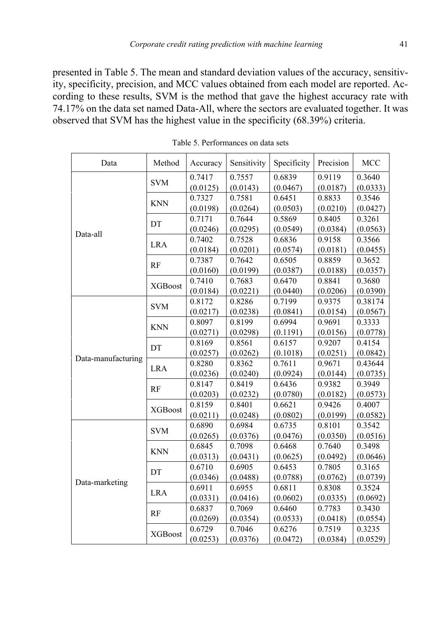presented in Table 5. The mean and standard deviation values of the accuracy, sensitivity, specificity, precision, and MCC values obtained from each model are reported. According to these results, SVM is the method that gave the highest accuracy rate with 74.17% on the data set named Data-All, where the sectors are evaluated together. It was observed that SVM has the highest value in the specificity (68.39%) criteria.

| Data               | Method         | Accuracy | Sensitivity                                                                                                                                                                                                                                                                                                                                                                                                                                                                                                                                                          | Specificity | Precision | MCC      |
|--------------------|----------------|----------|----------------------------------------------------------------------------------------------------------------------------------------------------------------------------------------------------------------------------------------------------------------------------------------------------------------------------------------------------------------------------------------------------------------------------------------------------------------------------------------------------------------------------------------------------------------------|-------------|-----------|----------|
|                    | <b>SVM</b>     | 0.7417   | 0.7557                                                                                                                                                                                                                                                                                                                                                                                                                                                                                                                                                               | 0.6839      | 0.9119    | 0.3640   |
|                    |                | (0.0125) | (0.0143)                                                                                                                                                                                                                                                                                                                                                                                                                                                                                                                                                             | (0.0467)    | (0.0187)  | (0.0333) |
|                    |                | 0.7327   | 0.7581                                                                                                                                                                                                                                                                                                                                                                                                                                                                                                                                                               | 0.6451      | 0.8833    | 0.3546   |
|                    | <b>KNN</b>     | (0.0198) | (0.0264)                                                                                                                                                                                                                                                                                                                                                                                                                                                                                                                                                             | (0.0503)    | (0.0210)  | (0.0427) |
|                    |                | 0.7171   | 0.7644                                                                                                                                                                                                                                                                                                                                                                                                                                                                                                                                                               | 0.5869      | 0.8405    | 0.3261   |
|                    | DT             | (0.0246) | (0.0295)                                                                                                                                                                                                                                                                                                                                                                                                                                                                                                                                                             | (0.0549)    | (0.0384)  | (0.0563) |
| Data-all           | <b>LRA</b>     | 0.7402   | 0.7528                                                                                                                                                                                                                                                                                                                                                                                                                                                                                                                                                               | 0.6836      | 0.9158    | 0.3566   |
|                    |                | (0.0184) | (0.0201)                                                                                                                                                                                                                                                                                                                                                                                                                                                                                                                                                             | (0.0574)    | (0.0181)  | (0.0455) |
|                    |                | 0.7387   | 0.7642                                                                                                                                                                                                                                                                                                                                                                                                                                                                                                                                                               | 0.6505      | 0.8859    | 0.3652   |
|                    | RF             | (0.0160) | (0.0199)                                                                                                                                                                                                                                                                                                                                                                                                                                                                                                                                                             | (0.0387)    | (0.0188)  | (0.0357) |
|                    |                | 0.7410   | 0.7683                                                                                                                                                                                                                                                                                                                                                                                                                                                                                                                                                               | 0.6470      | 0.8841    | 0.3680   |
|                    | <b>XGBoost</b> | (0.0184) | (0.0221)<br>(0.0440)<br>0.8286<br>0.7199<br>(0.0238)<br>(0.0841)<br>0.6994<br>0.8199<br>(0.0298)<br>(0.1191)<br>0.8561<br>0.6157<br>(0.0262)<br>(0.1018)<br>0.7611<br>0.8362<br>(0.0240)<br>(0.0924)<br>0.8419<br>0.6436<br>(0.0780)<br>(0.0232)<br>0.8401<br>0.6621<br>(0.0248)<br>(0.0802)<br>0.6984<br>0.6735<br>(0.0376)<br>(0.0476)<br>0.7098<br>0.6468<br>(0.0431)<br>(0.0625)<br>0.6905<br>0.6453<br>(0.0488)<br>(0.0788)<br>0.6955<br>0.6811<br>(0.0416)<br>(0.0602)<br>0.7069<br>0.6460<br>(0.0354)<br>(0.0533)<br>0.7046<br>0.6276<br>(0.0376)<br>(0.0472) |             | (0.0206)  | (0.0390) |
|                    |                | 0.8172   |                                                                                                                                                                                                                                                                                                                                                                                                                                                                                                                                                                      |             | 0.9375    | 0.38174  |
|                    | <b>SVM</b>     | (0.0217) |                                                                                                                                                                                                                                                                                                                                                                                                                                                                                                                                                                      |             | (0.0154)  | (0.0567) |
|                    | <b>KNN</b>     | 0.8097   |                                                                                                                                                                                                                                                                                                                                                                                                                                                                                                                                                                      |             | 0.9691    | 0.3333   |
|                    |                | (0.0271) |                                                                                                                                                                                                                                                                                                                                                                                                                                                                                                                                                                      |             | (0.0156)  | (0.0778) |
|                    |                | 0.8169   |                                                                                                                                                                                                                                                                                                                                                                                                                                                                                                                                                                      |             | 0.9207    | 0.4154   |
|                    | DT             | (0.0257) |                                                                                                                                                                                                                                                                                                                                                                                                                                                                                                                                                                      |             | (0.0251)  | (0.0842) |
| Data-manufacturing |                | 0.8280   |                                                                                                                                                                                                                                                                                                                                                                                                                                                                                                                                                                      |             | 0.9671    | 0.43644  |
|                    | <b>LRA</b>     | (0.0236) |                                                                                                                                                                                                                                                                                                                                                                                                                                                                                                                                                                      |             | (0.0144)  | (0.0735) |
|                    | <b>RF</b>      | 0.8147   |                                                                                                                                                                                                                                                                                                                                                                                                                                                                                                                                                                      |             | 0.9382    | 0.3949   |
|                    |                | (0.0203) |                                                                                                                                                                                                                                                                                                                                                                                                                                                                                                                                                                      |             | (0.0182)  | (0.0573) |
|                    | <b>XGBoost</b> | 0.8159   |                                                                                                                                                                                                                                                                                                                                                                                                                                                                                                                                                                      |             | 0.9426    | 0.4007   |
|                    |                | (0.0211) |                                                                                                                                                                                                                                                                                                                                                                                                                                                                                                                                                                      |             | (0.0199)  | (0.0582) |
|                    |                | 0.6890   |                                                                                                                                                                                                                                                                                                                                                                                                                                                                                                                                                                      |             | 0.8101    | 0.3542   |
|                    | <b>SVM</b>     | (0.0265) |                                                                                                                                                                                                                                                                                                                                                                                                                                                                                                                                                                      |             | (0.0350)  | (0.0516) |
|                    |                | 0.6845   |                                                                                                                                                                                                                                                                                                                                                                                                                                                                                                                                                                      |             | 0.7640    | 0.3498   |
|                    | <b>KNN</b>     | (0.0313) |                                                                                                                                                                                                                                                                                                                                                                                                                                                                                                                                                                      |             | (0.0492)  | (0.0646) |
|                    | DT             | 0.6710   |                                                                                                                                                                                                                                                                                                                                                                                                                                                                                                                                                                      |             | 0.7805    | 0.3165   |
|                    |                | (0.0346) |                                                                                                                                                                                                                                                                                                                                                                                                                                                                                                                                                                      |             | (0.0762)  | (0.0739) |
| Data-marketing     |                | 0.6911   |                                                                                                                                                                                                                                                                                                                                                                                                                                                                                                                                                                      |             | 0.8308    | 0.3524   |
|                    | <b>LRA</b>     | (0.0331) |                                                                                                                                                                                                                                                                                                                                                                                                                                                                                                                                                                      |             | (0.0335)  | (0.0692) |
|                    |                | 0.6837   |                                                                                                                                                                                                                                                                                                                                                                                                                                                                                                                                                                      |             | 0.7783    | 0.3430   |
|                    | RF             | (0.0269) |                                                                                                                                                                                                                                                                                                                                                                                                                                                                                                                                                                      |             | (0.0418)  | (0.0554) |
|                    |                | 0.6729   |                                                                                                                                                                                                                                                                                                                                                                                                                                                                                                                                                                      |             | 0.7519    | 0.3235   |
|                    | <b>XGBoost</b> | (0.0253) |                                                                                                                                                                                                                                                                                                                                                                                                                                                                                                                                                                      |             | (0.0384)  | (0.0529) |

Table 5. Performances on data sets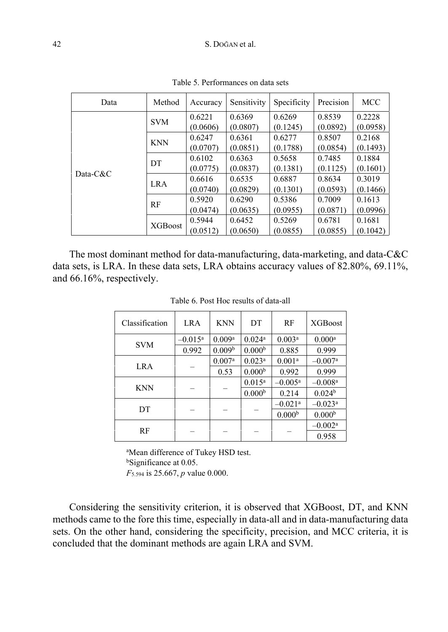### 42 S. DOĞAN et al.

| Data        | Method         | Accuracy | Sensitivity | Specificity | Precision | MCC      |
|-------------|----------------|----------|-------------|-------------|-----------|----------|
|             | <b>SVM</b>     | 0.6221   | 0.6369      | 0.6269      | 0.8539    | 0.2228   |
|             |                | (0.0606) | (0.0807)    | (0.1245)    | (0.0892)  | (0.0958) |
|             | <b>KNN</b>     | 0.6247   | 0.6361      | 0.6277      | 0.8507    | 0.2168   |
|             |                | (0.0707) | (0.0851)    | (0.1788)    | (0.0854)  | (0.1493) |
|             | DT.            | 0.6102   | 0.6363      | 0.5658      | 0.7485    | 0.1884   |
| Data- $C&C$ |                | (0.0775) | (0.0837)    | (0.1381)    | (0.1125)  | (0.1601) |
|             | LRA            | 0.6616   | 0.6535      | 0.6887      | 0.8634    | 0.3019   |
|             |                | (0.0740) | (0.0829)    | (0.1301)    | (0.0593)  | (0.1466) |
|             | RF             | 0.5920   | 0.6290      | 0.5386      | 0.7009    | 0.1613   |
|             |                | (0.0474) | (0.0635)    | (0.0955)    | (0.0871)  | (0.0996) |
|             | <b>XGBoost</b> | 0.5944   | 0.6452      | 0.5269      | 0.6781    | 0.1681   |
|             |                | (0.0512) | (0.0650)    | (0.0855)    | (0.0855)  | (0.1042) |

Table 5. Performances on data sets

The most dominant method for data-manufacturing, data-marketing, and data-C&C data sets, is LRA. In these data sets, LRA obtains accuracy values of 82.80%, 69.11%, and 66.16%, respectively.

| Classification | LRA              | <b>KNN</b>         | DT                   | RF                    | <b>XGBoost</b>        |
|----------------|------------------|--------------------|----------------------|-----------------------|-----------------------|
| <b>SVM</b>     | $-0.015^{\rm a}$ | 0.009 <sup>a</sup> | $0.024$ <sup>a</sup> | 0.003 <sup>a</sup>    | $0.000^{\rm a}$       |
|                | 0.992            | 0.009 <sup>b</sup> | 0.000 <sup>b</sup>   | 0.885                 | 0.999                 |
|                |                  | 0.007 <sup>a</sup> | 0.023 <sup>a</sup>   | 0.001 <sup>a</sup>    | $-0.007$ <sup>a</sup> |
| <b>LRA</b>     |                  | 0.53               | 0.000 <sup>b</sup>   | 0.992                 | 0.999                 |
|                |                  |                    | $0.015^{\rm a}$      | $-0.005^{\rm a}$      | $-0.008$ <sup>a</sup> |
| <b>KNN</b>     |                  |                    | 0.000 <sup>b</sup>   | 0.214                 | 0.024 <sup>b</sup>    |
| DT             |                  |                    |                      | $-0.021$ <sup>a</sup> | $-0.023$ <sup>a</sup> |
|                |                  |                    |                      | 0.000 <sup>b</sup>    | 0.000 <sup>b</sup>    |
|                |                  |                    |                      |                       | $-0.002^{\rm a}$      |
| RF             |                  |                    |                      |                       | 0.958                 |

Table 6. Post Hoc results of data-all

<sup>a</sup>Mean difference of Tukey HSD test. bSignificance at 0.05. *F*5.594 is 25.667, *p* value 0.000.

Considering the sensitivity criterion, it is observed that XGBoost, DT, and KNN methods came to the fore this time, especially in data-all and in data-manufacturing data sets. On the other hand, considering the specificity, precision, and MCC criteria, it is concluded that the dominant methods are again LRA and SVM.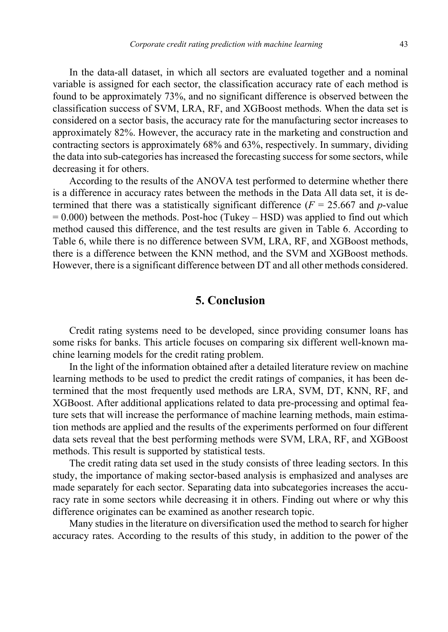In the data-all dataset, in which all sectors are evaluated together and a nominal variable is assigned for each sector, the classification accuracy rate of each method is found to be approximately 73%, and no significant difference is observed between the classification success of SVM, LRA, RF, and XGBoost methods. When the data set is considered on a sector basis, the accuracy rate for the manufacturing sector increases to approximately 82%. However, the accuracy rate in the marketing and construction and contracting sectors is approximately 68% and 63%, respectively. In summary, dividing the data into sub-categories has increased the forecasting success for some sectors, while decreasing it for others.

According to the results of the ANOVA test performed to determine whether there is a difference in accuracy rates between the methods in the Data All data set, it is determined that there was a statistically significant difference  $(F = 25.667$  and *p*-value  $= 0.000$ ) between the methods. Post-hoc (Tukey – HSD) was applied to find out which method caused this difference, and the test results are given in Table 6. According to Table 6, while there is no difference between SVM, LRA, RF, and XGBoost methods, there is a difference between the KNN method, and the SVM and XGBoost methods. However, there is a significant difference between DT and all other methods considered.

## **5. Conclusion**

Credit rating systems need to be developed, since providing consumer loans has some risks for banks. This article focuses on comparing six different well-known machine learning models for the credit rating problem.

In the light of the information obtained after a detailed literature review on machine learning methods to be used to predict the credit ratings of companies, it has been determined that the most frequently used methods are LRA, SVM, DT, KNN, RF, and XGBoost. After additional applications related to data pre-processing and optimal feature sets that will increase the performance of machine learning methods, main estimation methods are applied and the results of the experiments performed on four different data sets reveal that the best performing methods were SVM, LRA, RF, and XGBoost methods. This result is supported by statistical tests.

The credit rating data set used in the study consists of three leading sectors. In this study, the importance of making sector-based analysis is emphasized and analyses are made separately for each sector. Separating data into subcategories increases the accuracy rate in some sectors while decreasing it in others. Finding out where or why this difference originates can be examined as another research topic.

Many studies in the literature on diversification used the method to search for higher accuracy rates. According to the results of this study, in addition to the power of the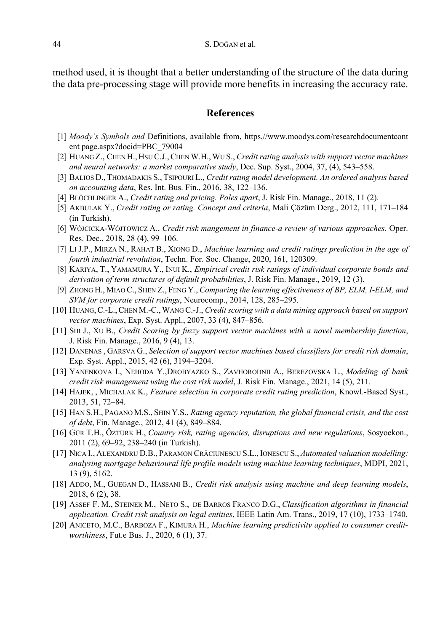method used, it is thought that a better understanding of the structure of the data during the data pre-processing stage will provide more benefits in increasing the accuracy rate.

### **References**

- [1] *Moody's Symbols and* Definitions, available from, https,//www.moodys.com/researchdocumentcont ent page.aspx?docid=PBC\_79004
- [2] HUANG Z., CHEN H., HSU C.J.,CHEN W.H., WU S., *Credit rating analysis with support vector machines and neural networks: a market comparative study*, Dec. Sup. Syst., 2004, 37, (4), 543–558.
- [3] BALIOS D., THOMADAKIS S., TSIPOURI L., *Credit rating model development. An ordered analysis based on accounting data*, Res. Int. Bus. Fin., 2016, 38, 122–136.
- [4] BLÖCHLINGER A., *Credit rating and pricing. Poles apart*, J. Risk Fin. Manage., 2018, 11 (2).
- [5] AKBULAK Y., *Credit rating or rating. Concept and criteria*, Mali Çözüm Derg., 2012, 111, 171–184 (in Turkish).
- [6] WÓJCICKA-WÓJTOWICZ A., *Credit risk mangement in finance-a review of various approaches.* Oper. Res. Dec., 2018, 28 (4), 99–106.
- [7] LI J.P., MIRZA N., RAHAT B., XIONG D., *Machine learning and credit ratings prediction in the age of fourth industrial revolution*, Techn. For. Soc. Change, 2020, 161, 120309.
- [8] KARIYA, T., YAMAMURA Y., INUI K., *Empirical credit risk ratings of individual corporate bonds and derivation of term structures of default probabilities*, J. Risk Fin. Manage., 2019, 12 (3).
- [9] ZHONG H., MIAO C., SHEN Z., FENG Y., *Comparing the learning effectiveness of BP, ELM, I-ELM, and SVM for corporate credit ratings*, Neurocomp., 2014, 128, 285–295.
- [10] HUANG,C.-L.,CHEN M.-C.,WANG C.-J., *Credit scoring with a data mining approach based on support vector machines*, Exp. Syst. Appl., 2007, 33 (4), 847–856.
- [11] SHI J., XU B., *Credit Scoring by fuzzy support vector machines with a novel membership function*, J. Risk Fin. Manage., 2016, 9 (4), 13.
- [12] DANENAS , GARSVA G., *Selection of support vector machines based classifiers for credit risk domain*, Exp. Syst. Appl., 2015, 42 (6), 3194–3204.
- [13] YANENKOVA I., NEHODA Y.,DROBYAZKO S., ZAVHORODNII A., BEREZOVSKA L., *Modeling of bank credit risk management using the cost risk model*, J. Risk Fin. Manage., 2021, 14 (5), 211.
- [14] HAJEK, , MICHALAK K., *Feature selection in corporate credit rating prediction*, Knowl.-Based Syst., 2013, 51, 72–84.
- [15] HAN S.H., PAGANO M.S., SHIN Y.S., *Rating agency reputation, the global financial crisis, and the cost of debt*, Fin. Manage., 2012, 41 (4), 849–884.
- [16] GÜR T.H., ÖZTÜRK H., *Country risk, rating agencies, disruptions and new regulations*, Sosyoekon., 2011 (2), 69–92, 238–240 (in Turkish).
- [17] NICA I., ALEXANDRU D.B., PARAMON CRĂCIUNESCU S.L., IONESCU S., *Automated valuation modelling: analysing mortgage behavioural life profile models using machine learning techniques*, MDPI, 2021, 13 (9), 5162.
- [18] ADDO, M., GUEGAN D., HASSANI B., *Credit risk analysis using machine and deep learning models*, 2018, 6 (2), 38.
- [19] ASSEF F. M., STEINER M., NETO S., DE BARROS FRANCO D.G., *Classification algorithms in financial application. Credit risk analysis on legal entities*, IEEE Latin Am. Trans., 2019, 17 (10), 1733–1740.
- [20] ANICETO, M.C., BARBOZA F., KIMURA H., *Machine learning predictivity applied to consumer creditworthiness*, Fut.e Bus. J., 2020, 6 (1), 37.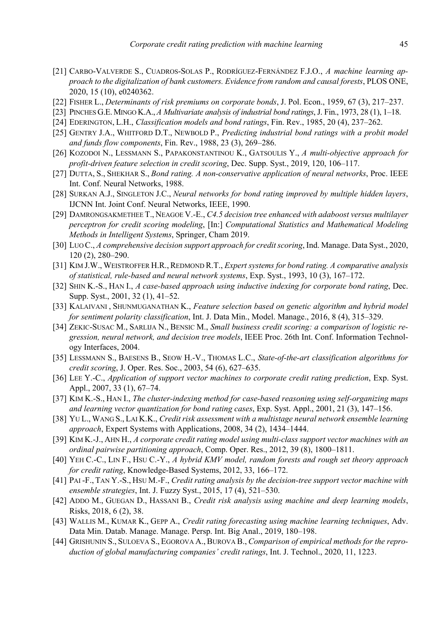- [21] CARBO-VALVERDE S., CUADROS-SOLAS P., RODRÍGUEZ-FERNÁNDEZ F.J.O., *A machine learning approach to the digitalization of bank customers. Evidence from random and causal forests*, PLOS ONE, 2020, 15 (10), e0240362.
- [22] FISHER L., *Determinants of risk premiums on corporate bonds*, J. Pol. Econ., 1959, 67 (3), 217–237.
- [23] PINCHES G.E. MINGO K.A.,*A Multivariate analysis of industrial bond ratings*, J. Fin., 1973, 28 (1), 1–18.
- [24] EDERINGTON, L.H., *Classification models and bond ratings*, Fin. Rev., 1985, 20 (4), 237–262.
- [25] GENTRY J.A., WHITFORD D.T., NEWBOLD P., *Predicting industrial bond ratings with a probit model and funds flow components*, Fin. Rev., 1988, 23 (3), 269–286.
- [26] KOZODOI N., LESSMANN S., PAPAKONSTANTINOU K., GATSOULIS Y., *A multi-objective approach for profit-driven feature selection in credit scoring*, Dec. Supp. Syst., 2019, 120, 106–117.
- [27] DUTTA, S., SHEKHAR S., *Bond rating. A non-conservative application of neural networks*, Proc. IEEE Int. Conf. Neural Networks, 1988.
- [28] SURKAN A.J., SINGLETON J.C., *Neural networks for bond rating improved by multiple hidden layers*, IJCNN Int. Joint Conf. Neural Networks, IEEE, 1990.
- [29] DAMRONGSAKMETHEE T., NEAGOE V.-E., *C4.5 decision tree enhanced with adaboost versus multilayer perceptron for credit scoring modeling*, [In:] *Computational Statistics and Mathematical Modeling Methods in Intelligent Systems*, Springer, Cham 2019.
- [30] LUO C., *A comprehensive decision support approach for credit scoring*, Ind. Manage. Data Syst., 2020, 120 (2), 280–290.
- [31] KIM J.W., WEISTROFFER H.R., REDMOND R.T., *Expert systems for bond rating. A comparative analysis of statistical, rule-based and neural network systems*, Exp. Syst., 1993, 10 (3), 167–172.
- [32] SHIN K.-S., HAN I., *A case-based approach using inductive indexing for corporate bond rating*, Dec. Supp. Syst., 2001, 32 (1), 41–52.
- [33] KALAIVANI , SHUNMUGANATHAN K., *Feature selection based on genetic algorithm and hybrid model for sentiment polarity classification*, Int. J. Data Min., Model. Manage., 2016, 8 (4), 315–329.
- [34] ZEKIC-SUSAC M., SARLIJA N., BENSIC M., *Small business credit scoring: a comparison of logistic regression, neural network, and decision tree models*, IEEE Proc. 26th Int. Conf. Information Technology Interfaces, 2004.
- [35] LESSMANN S., BAESENS B., SEOW H.-V., THOMAS L.C., *State-of-the-art classification algorithms for credit scoring*, J. Oper. Res. Soc., 2003, 54 (6), 627–635.
- [36] LEE Y.-C., *Application of support vector machines to corporate credit rating prediction*, Exp. Syst. Appl., 2007, 33 (1), 67–74.
- [37] KIM K.-S., HAN I., *The cluster-indexing method for case-based reasoning using self-organizing maps and learning vector quantization for bond rating cases*, Exp. Syst. Appl., 2001, 21 (3), 147–156.
- [38] YU L., WANG S., LAI K.K., *Credit risk assessment with a multistage neural network ensemble learning approach*, Expert Systems with Applications, 2008, 34 (2), 1434–1444.
- [39] KIM K.-J., AHN H., *A corporate credit rating model using multi-class support vector machines with an ordinal pairwise partitioning approach*, Comp. Oper. Res., 2012, 39 (8), 1800–1811.
- [40] YEH C.-C., LIN F., HSU C.-Y., *A hybrid KMV model, random forests and rough set theory approach for credit rating*, Knowledge-Based Systems, 2012, 33, 166–172.
- [41] PAI -F., TAN Y.-S., HSU M.-F., *Credit rating analysis by the decision-tree support vector machine with ensemble strategies*, Int. J. Fuzzy Syst., 2015, 17 (4), 521–530.
- [42] ADDO M., GUEGAN D., HASSANI B., *Credit risk analysis using machine and deep learning models*, Risks, 2018, 6 (2), 38.
- [43] WALLIS M., KUMAR K., GEPP A., *Credit rating forecasting using machine learning techniques*, Adv. Data Min. Datab. Manage. Manage. Persp. Int. Big Anal., 2019, 180–198.
- [44] GRISHUNIN S., SULOEVA S., EGOROVA A., BUROVA B., *Comparison of empirical methods for the reproduction of global manufacturing companies' credit ratings*, Int. J. Technol., 2020, 11, 1223.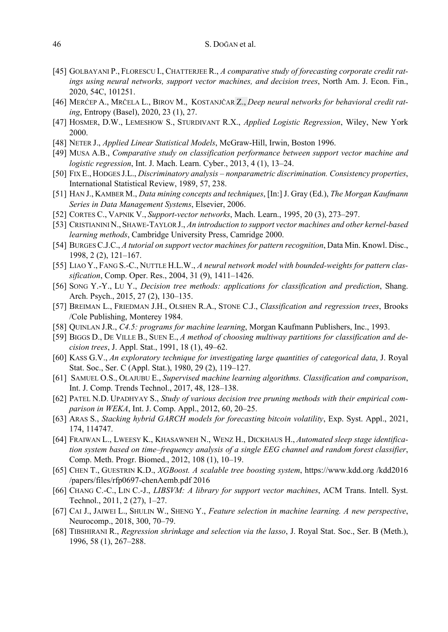- [45] GOLBAYANI P., FLORESCU I., CHATTERJEE R., *A comparative study of forecasting corporate credit ratings using neural networks, support vector machines, and decision trees*, North Am. J. Econ. Fin., 2020, 54C, 101251.
- [46] MERĆEP A., MRČELA L., BIROV M., KOSTANJČAR Z., *Deep neural networks for behavioral credit rating*, Entropy (Basel), 2020, 23 (1), 27.
- [47] HOSMER, D.W., LEMESHOW S., STURDIVANT R.X., *Applied Logistic Regression*, Wiley, New York 2000.
- [48] NETER J., *Applied Linear Statistical Models*, McGraw-Hill, Irwin, Boston 1996.
- [49] MUSA A.B., *Comparative study on classification performance between support vector machine and logistic regression*, Int. J. Mach. Learn. Cyber., 2013, 4 (1), 13–24.
- [50] FIX E., HODGES J.L., *Discriminatory analysis nonparametric discrimination. Consistency properties*, International Statistical Review, 1989, 57, 238.
- [51] HAN J., KAMBER M., *Data mining concepts and techniques*, [In:] J. Gray (Ed.), *The Morgan Kaufmann Series in Data Management Systems*, Elsevier, 2006.
- [52] CORTES C., VAPNIK V., *Support-vector networks*, Mach. Learn., 1995, 20 (3), 273–297.
- [53] CRISTIANINI N., SHAWE-TAYLOR J., *An introduction to support vector machines and other kernel-based learning methods*, Cambridge University Press, Camridge 2000.
- [54] BURGES C.J.C., *A tutorial on support vector machines for pattern recognition*, Data Min. Knowl. Disc., 1998, 2 (2), 121–167.
- [55] LIAO Y., FANG S.-C., NUTTLE H.L.W., *A neural network model with bounded-weights for pattern classification*, Comp. Oper. Res., 2004, 31 (9), 1411–1426.
- [56] SONG Y.-Y., LU Y., *Decision tree methods: applications for classification and prediction*, Shang. Arch. Psych., 2015, 27 (2), 130–135.
- [57] BREIMAN L., FRIEDMAN J.H., OLSHEN R.A., STONE C.J., *Classification and regression trees*, Brooks /Cole Publishing, Monterey 1984.
- [58] QUINLAN J.R., *C4.5: programs for machine learning*, Morgan Kaufmann Publishers, Inc., 1993.
- [59] BIGGS D., DE VILLE B., SUEN E., *A method of choosing multiway partitions for classification and decision trees*, J. Appl. Stat., 1991, 18 (1), 49–62.
- [60] KASS G.V., *An exploratory technique for investigating large quantities of categorical data*, J. Royal Stat. Soc., Ser. C (Appl. Stat.), 1980, 29 (2), 119–127.
- [61] SAMUEL O.S., OLAJUBU E., *Supervised machine learning algorithms. Classification and comparison*, Int. J. Comp. Trends Technol., 2017, 48, 128–138.
- [62] PATEL N.D. UPADHYAY S., *Study of various decision tree pruning methods with their empirical comparison in WEKA*, Int. J. Comp. Appl., 2012, 60, 20–25.
- [63] ARAS S., *Stacking hybrid GARCH models for forecasting bitcoin volatility*, Exp. Syst. Appl., 2021, 174, 114747.
- [64] FRAIWAN L., LWEESY K., KHASAWNEH N., WENZ H., DICKHAUS H., *Automated sleep stage identification system based on time–frequency analysis of a single EEG channel and random forest classifier*, Comp. Meth. Progr. Biomed., 2012, 108 (1), 10–19.
- [65] CHEN T., GUESTRIN K.D., *XGBoost. A scalable tree boosting system*, https://www.kdd.org /kdd2016 /papers/files/rfp0697-chenAemb.pdf 2016
- [66] CHANG C.-C., LIN C.-J., *LIBSVM: A library for support vector machines*, ACM Trans. Intell. Syst. Technol., 2011, 2 (27), 1–27.
- [67] CAI J., JAIWEI L., SHULIN W., SHENG Y., *Feature selection in machine learning. A new perspective*, Neurocomp., 2018, 300, 70–79.
- [68] TIBSHIRANI R., *Regression shrinkage and selection via the lasso*, J. Royal Stat. Soc., Ser. B (Meth.), 1996, 58 (1), 267–288.